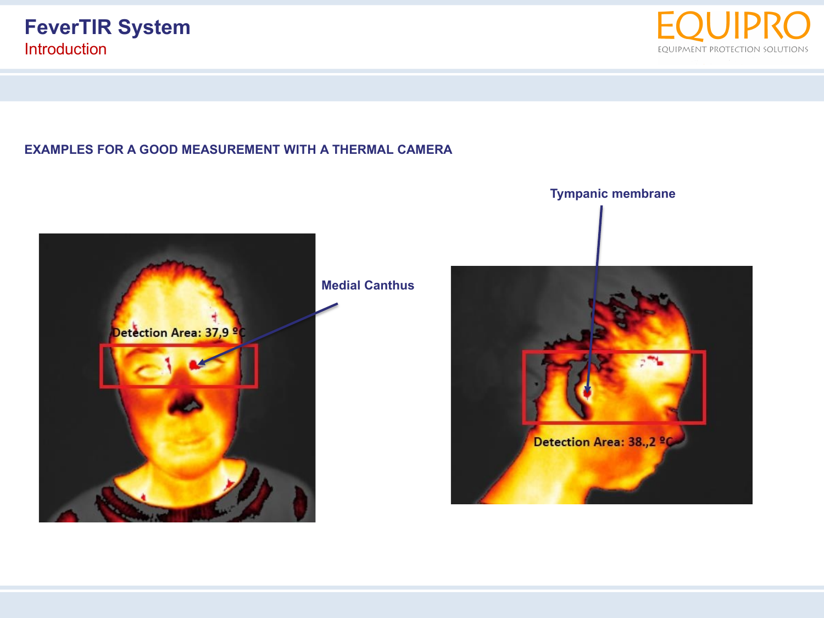

## **EXAMPLES FOR A GOOD MEASUREMENT WITH A THERMAL CAMERA**



**Medial Canthus**



**Tympanic membrane**